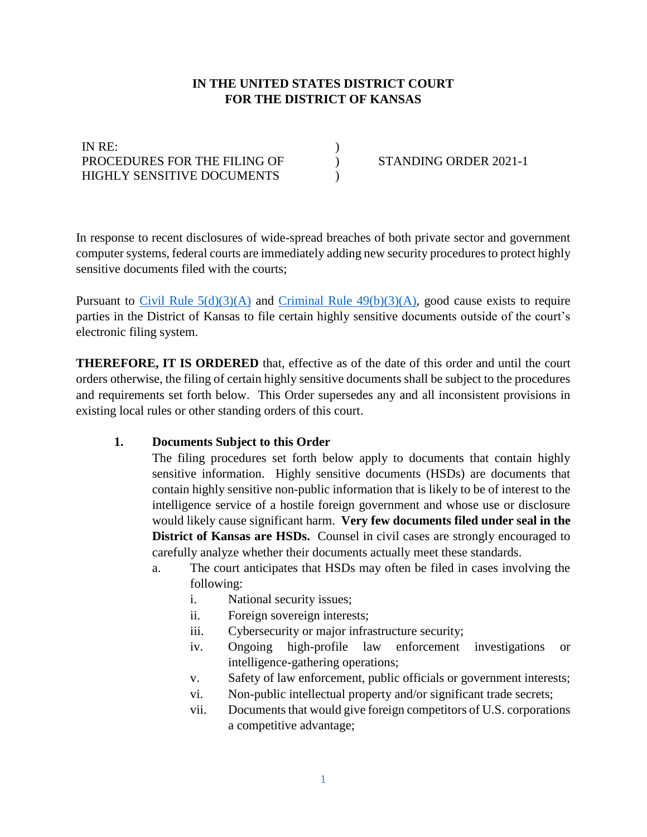## **IN THE UNITED STATES DISTRICT COURT FOR THE DISTRICT OF KANSAS**

) ) )

| IN RE:                            |  |
|-----------------------------------|--|
| PROCEDURES FOR THE FILING OF      |  |
| <b>HIGHLY SENSITIVE DOCUMENTS</b> |  |

STANDING ORDER 2021-1

In response to recent disclosures of wide-spread breaches of both private sector and government computer systems, federal courts are immediately adding new security procedures to protect highly sensitive documents filed with the courts;

Pursuant to Civil Rule  $5(d)(3)(A)$  and Criminal Rule  $49(b)(3)(A)$ , good cause exists to require parties in the District of Kansas to file certain highly sensitive documents outside of the court's electronic filing system.

**THEREFORE, IT IS ORDERED** that, effective as of the date of this order and until the court orders otherwise, the filing of certain highly sensitive documents shall be subject to the procedures and requirements set forth below. This Order supersedes any and all inconsistent provisions in existing local rules or other standing orders of this court.

### **1. Documents Subject to this Order**

The filing procedures set forth below apply to documents that contain highly sensitive information. Highly sensitive documents (HSDs) are documents that contain highly sensitive non-public information that is likely to be of interest to the intelligence service of a hostile foreign government and whose use or disclosure would likely cause significant harm. **Very few documents filed under seal in the District of Kansas are HSDs.** Counsel in civil cases are strongly encouraged to carefully analyze whether their documents actually meet these standards.

- a. The court anticipates that HSDs may often be filed in cases involving the following:
	- i. National security issues;
	- ii. Foreign sovereign interests;
	- iii. Cybersecurity or major infrastructure security;
	- iv. Ongoing high-profile law enforcement investigations or intelligence-gathering operations;
	- v. Safety of law enforcement, public officials or government interests;
	- vi. Non-public intellectual property and/or significant trade secrets;
	- vii. Documents that would give foreign competitors of U.S. corporations a competitive advantage;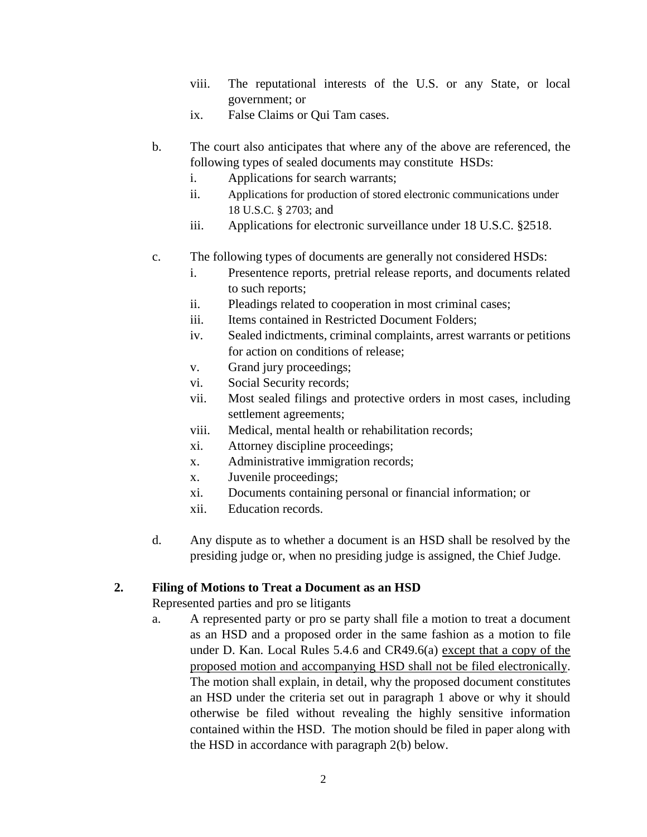- viii. The reputational interests of the U.S. or any State, or local government; or
- ix. False Claims or Qui Tam cases.
- b. The court also anticipates that where any of the above are referenced, the following types of sealed documents may constitute HSDs:
	- i. Applications for search warrants;
	- ii. Applications for production of stored electronic communications under 18 U.S.C. § 2703; and
	- iii. Applications for electronic surveillance under 18 U.S.C. §2518.
- c. The following types of documents are generally not considered HSDs:
	- i. Presentence reports, pretrial release reports, and documents related to such reports;
	- ii. Pleadings related to cooperation in most criminal cases;
	- iii. Items contained in Restricted Document Folders;
	- iv. Sealed indictments, criminal complaints, arrest warrants or petitions for action on conditions of release;
	- v. Grand jury proceedings;
	- vi. Social Security records;
	- vii. Most sealed filings and protective orders in most cases, including settlement agreements;
	- viii. Medical, mental health or rehabilitation records;
	- xi. Attorney discipline proceedings;
	- x. Administrative immigration records;
	- x. Juvenile proceedings;
	- xi. Documents containing personal or financial information; or
	- xii. Education records.
- d. Any dispute as to whether a document is an HSD shall be resolved by the presiding judge or, when no presiding judge is assigned, the Chief Judge.

# **2. Filing of Motions to Treat a Document as an HSD**

Represented parties and pro se litigants

a. A represented party or pro se party shall file a motion to treat a document as an HSD and a proposed order in the same fashion as a motion to file under D. Kan. Local Rules 5.4.6 and CR49.6(a) except that a copy of the proposed motion and accompanying HSD shall not be filed electronically. The motion shall explain, in detail, why the proposed document constitutes an HSD under the criteria set out in paragraph 1 above or why it should otherwise be filed without revealing the highly sensitive information contained within the HSD. The motion should be filed in paper along with the HSD in accordance with paragraph 2(b) below.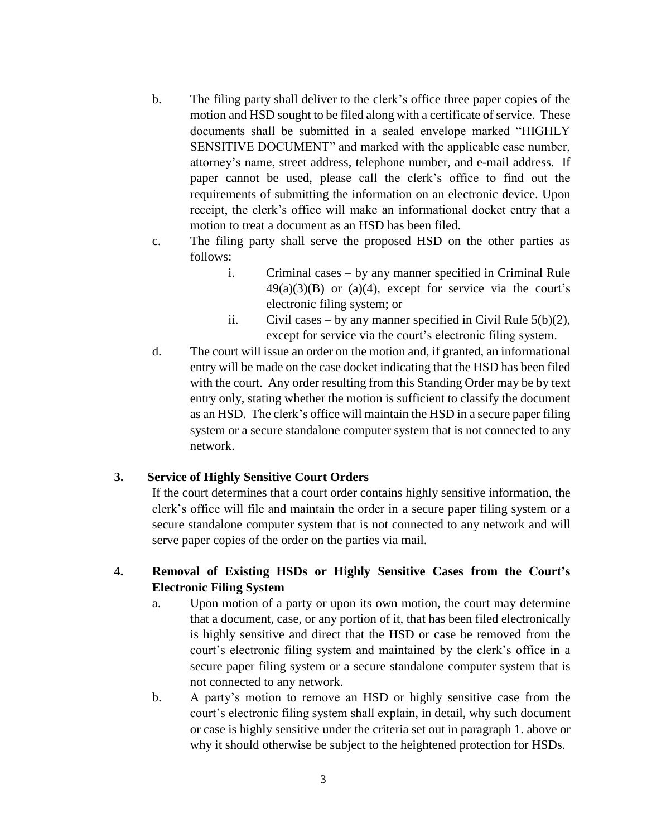- b. The filing party shall deliver to the clerk's office three paper copies of the motion and HSD sought to be filed along with a certificate of service. These documents shall be submitted in a sealed envelope marked "HIGHLY SENSITIVE DOCUMENT" and marked with the applicable case number, attorney's name, street address, telephone number, and e-mail address. If paper cannot be used, please call the clerk's office to find out the requirements of submitting the information on an electronic device. Upon receipt, the clerk's office will make an informational docket entry that a motion to treat a document as an HSD has been filed.
- c. The filing party shall serve the proposed HSD on the other parties as follows:
	- i. Criminal cases by any manner specified in Criminal Rule  $49(a)(3)(B)$  or  $(a)(4)$ , except for service via the court's electronic filing system; or
	- ii. Civil cases by any manner specified in Civil Rule  $5(b)(2)$ , except for service via the court's electronic filing system.
- d. The court will issue an order on the motion and, if granted, an informational entry will be made on the case docket indicating that the HSD has been filed with the court. Any order resulting from this Standing Order may be by text entry only, stating whether the motion is sufficient to classify the document as an HSD. The clerk's office will maintain the HSD in a secure paper filing system or a secure standalone computer system that is not connected to any network.

### **3. Service of Highly Sensitive Court Orders**

If the court determines that a court order contains highly sensitive information, the clerk's office will file and maintain the order in a secure paper filing system or a secure standalone computer system that is not connected to any network and will serve paper copies of the order on the parties via mail.

# **4. Removal of Existing HSDs or Highly Sensitive Cases from the Court's Electronic Filing System**

- a. Upon motion of a party or upon its own motion, the court may determine that a document, case, or any portion of it, that has been filed electronically is highly sensitive and direct that the HSD or case be removed from the court's electronic filing system and maintained by the clerk's office in a secure paper filing system or a secure standalone computer system that is not connected to any network.
- b. A party's motion to remove an HSD or highly sensitive case from the court's electronic filing system shall explain, in detail, why such document or case is highly sensitive under the criteria set out in paragraph 1. above or why it should otherwise be subject to the heightened protection for HSDs.